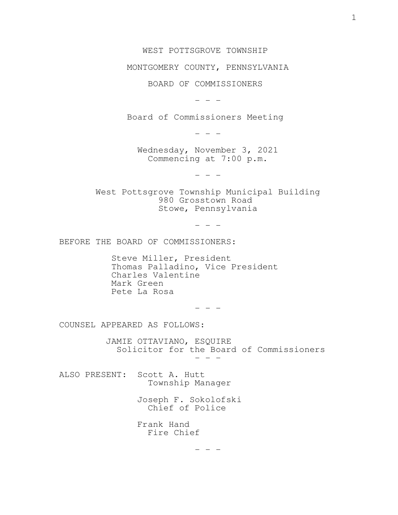## WEST POTTSGROVE TOWNSHIP

## MONTGOMERY COUNTY, PENNSYLVANIA

BOARD OF COMMISSIONERS

 $-$ 

Board of Commissioners Meeting

 $-$ 

Commencing at 7:00 p.m. Wednesday, November 3, 2021

 $-$ 

Stowe, Pennsylvania 980 Grosstown Road West Pottsgrove Township Municipal Building

 $-$ 

BEFORE THE BOARD OF COMMISSIONERS:

 Pete La Rosa Mark Green Charles Valentine Thomas Palladino, Vice President Steve Miller, President

- - -

COUNSEL APPEARED AS FOLLOWS:

 $-$  Solicitor for the Board of Commissioners JAMIE OTTAVIANO, ESQUIRE

 Township Manager ALSO PRESENT: Scott A. Hutt

> Chief of Police Joseph F. Sokolofski

 Fire Chief Frank Hand

 $-$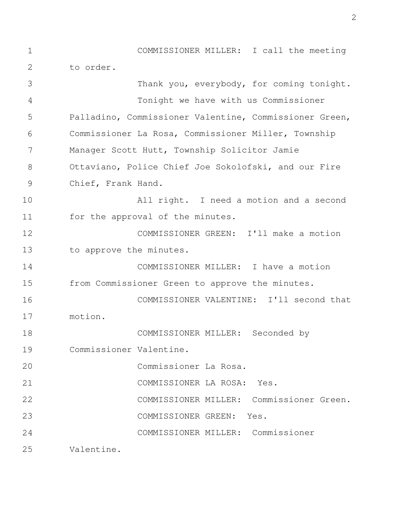to order. 1 COMMISSIONER MILLER: I call the meeting 2

Valentine. COMMISSIONER MILLER: Commissioner COMMISSIONER GREEN: Yes. COMMISSIONER MILLER: Commissioner Green. COMMISSIONER LA ROSA: Yes. Commissioner La Rosa. Commissioner Valentine. COMMISSIONER MILLER: Seconded by motion. COMMISSIONER VALENTINE: I'll second that from Commissioner Green to approve the minutes. COMMISSIONER MILLER: I have a motion to approve the minutes. COMMISSIONER GREEN: I'll make a motion for the approval of the minutes. All right. I need a motion and a second Chief, Frank Hand. Ottaviano, Police Chief Joe Sokolofski, and our Fire Manager Scott Hutt, Township Solicitor Jamie Commissioner La Rosa, Commissioner Miller, Township Palladino, Commissioner Valentine, Commissioner Green, Tonight we have with us Commissioner Thank you, everybody, for coming tonight. 3 4 5 6 7 8 9 10 11 12 13 14 15 16 17 18 19 20 21 22 23 24 25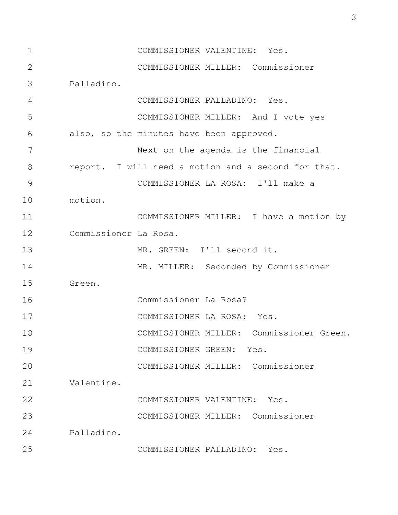COMMISSIONER PALLADINO: Yes. Palladino. COMMISSIONER MILLER: Commissioner COMMISSIONER VALENTINE: Yes. Valentine. COMMISSIONER MILLER: Commissioner COMMISSIONER GREEN: Yes. COMMISSIONER MILLER: Commissioner Green. COMMISSIONER LA ROSA: Yes. Commissioner La Rosa? Green. MR. MILLER: Seconded by Commissioner MR. GREEN: I'll second it. Commissioner La Rosa. COMMISSIONER MILLER: I have a motion by motion. COMMISSIONER LA ROSA: I'll make a report. I will need a motion and a second for that. Next on the agenda is the financial also, so the minutes have been approved. COMMISSIONER MILLER: And I vote yes COMMISSIONER PALLADINO: Yes. Palladino. COMMISSIONER MILLER: Commissioner 1 COMMISSIONER VALENTINE: Yes. 2 3 4 5 6 7 8 9 10 11 12 13 14 15 16 17 18 19  $2.0$  21 22 23 24 25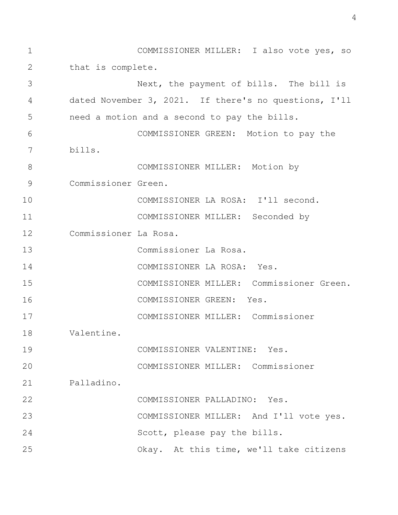Okay. At this time, we'll take citizens Scott, please pay the bills. COMMISSIONER MILLER: And I'll vote yes. COMMISSIONER PALLADINO: Yes. Palladino. COMMISSIONER MILLER: Commissioner COMMISSIONER VALENTINE: Yes. Valentine. COMMISSIONER MILLER: Commissioner COMMISSIONER GREEN: Yes. COMMISSIONER MILLER: Commissioner Green. COMMISSIONER LA ROSA: Yes. Commissioner La Rosa. Commissioner La Rosa. COMMISSIONER MILLER: Seconded by COMMISSIONER LA ROSA: I'll second. Commissioner Green. COMMISSIONER MILLER: Motion by bills. COMMISSIONER GREEN: Motion to pay the need a motion and a second to pay the bills. dated November 3, 2021. If there's no questions, I'll Next, the payment of bills. The bill is that is complete. 1 COMMISSIONER MILLER: I also vote yes, so 2 3 4 5 6 7 8 9 10 11 12 13 14 15 16 17 18 19  $20$  21 22 23 24 25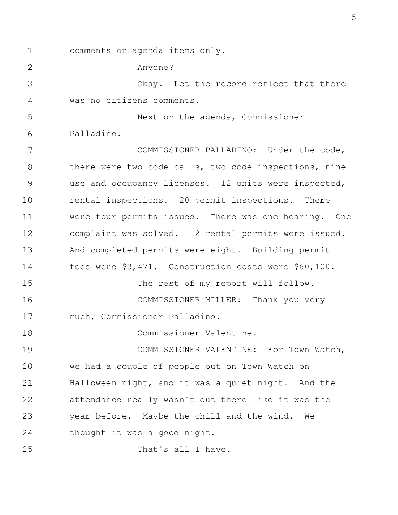1 comments on agenda items only.

Anyone?

2

was no citizens comments. Okay. Let the record reflect that there 3 4

Palladino. Next on the agenda, Commissioner 5 6

That's all I have. thought it was a good night. year before. Maybe the chill and the wind. We attendance really wasn't out there like it was the Halloween night, and it was a quiet night. And the we had a couple of people out on Town Watch on COMMISSIONER VALENTINE: For Town Watch, Commissioner Valentine. much, Commissioner Palladino. COMMISSIONER MILLER: Thank you very The rest of my report will follow. fees were \$3,471. Construction costs were \$60,100. And completed permits were eight. Building permit complaint was solved. 12 rental permits were issued. were four permits issued. There was one hearing. One rental inspections. 20 permit inspections. There use and occupancy licenses. 12 units were inspected, there were two code calls, two code inspections, nine COMMISSIONER PALLADINO: Under the code, 7 8 9 10 11 12 13 14 15 16 17 18 19 20 21 22 23 24 25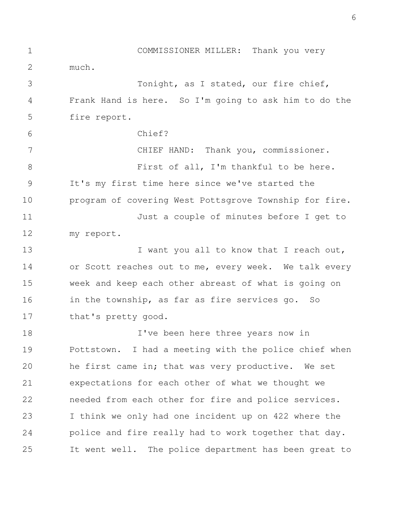that's pretty good. in the township, as far as fire services go. So week and keep each other abreast of what is going on or Scott reaches out to me, every week. We talk every I want you all to know that I reach out, my report. Just a couple of minutes before I get to program of covering West Pottsgrove Township for fire. It's my first time here since we've started the First of all, I'm thankful to be here. CHIEF HAND: Thank you, commissioner. Chief? fire report. Frank Hand is here. So I'm going to ask him to do the Tonight, as I stated, our fire chief, much. 1 COMMISSIONER MILLER: Thank you very 2 3 4 5 6 7 8 9 10 11 12 13 14 15 16 17

It went well. The police department has been great to police and fire really had to work together that day. I think we only had one incident up on 422 where the needed from each other for fire and police services. expectations for each other of what we thought we he first came in; that was very productive. We set Pottstown. I had a meeting with the police chief when I've been here three years now in 18 19 20 21 22 23 24 25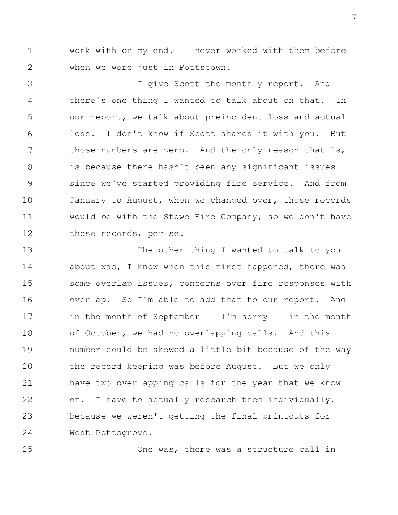when we were just in Pottstown. 1 work with on my end. I never worked with them before 2

those records, per se. would be with the Stowe Fire Company; so we don't have January to August, when we changed over, those records since we've started providing fire service. And from is because there hasn't been any significant issues those numbers are zero. And the only reason that is, loss. I don't know if Scott shares it with you. But our report, we talk about preincident loss and actual there's one thing I wanted to talk about on that. In I give Scott the monthly report. And 3 4 5 6 7 8 9 10 11 12

West Pottsgrove. because we weren't getting the final printouts for of. I have to actually research them individually, have two overlapping calls for the year that we know the record keeping was before August. But we only number could be skewed a little bit because of the way of October, we had no overlapping calls. And this in the month of September  $--$  I'm sorry  $--$  in the month overlap. So I'm able to add that to our report. And some overlap issues, concerns over fire responses with about was, I know when this first happened, there was The other thing I wanted to talk to you 13 14 15 16 17 18 19 20 21 22 23 24

25

One was, there was a structure call in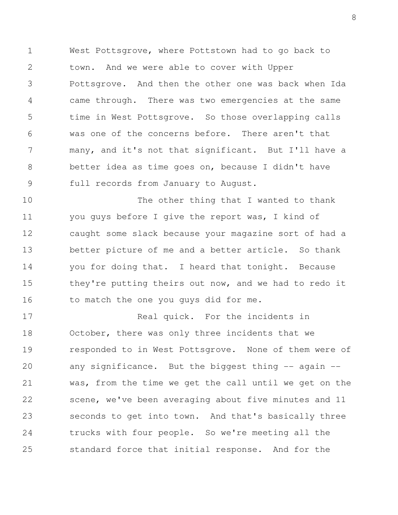full records from January to August. better idea as time goes on, because I didn't have many, and it's not that significant. But I'll have a was one of the concerns before. There aren't that time in West Pottsgrove. So those overlapping calls came through. There was two emergencies at the same Pottsgrove. And then the other one was back when Ida town. And we were able to cover with Upper 1 West Pottsgrove, where Pottstown had to go back to 2 3 4 5 6 7 8 9

to match the one you guys did for me. they're putting theirs out now, and we had to redo it you for doing that. I heard that tonight. Because better picture of me and a better article. So thank caught some slack because your magazine sort of had a you guys before I give the report was, I kind of The other thing that I wanted to thank 10 11 12 13 14 15 16

standard force that initial response. And for the trucks with four people. So we're meeting all the seconds to get into town. And that's basically three scene, we've been averaging about five minutes and 11 was, from the time we get the call until we get on the any significance. But the biggest thing  $-$  again  $$ responded to in West Pottsgrove. None of them were of October, there was only three incidents that we Real quick. For the incidents in 17 18 19 20 21 22 23 24 25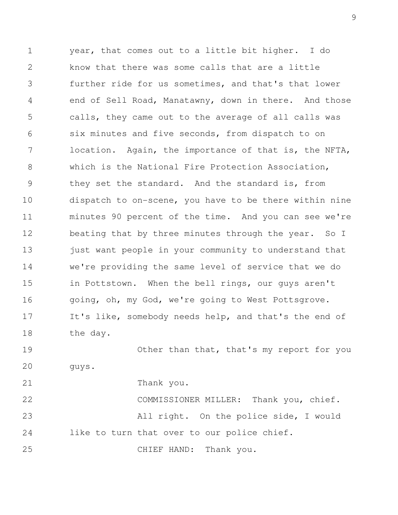Thank you. guys. Other than that, that's my report for you the day. It's like, somebody needs help, and that's the end of going, oh, my God, we're going to West Pottsgrove. in Pottstown. When the bell rings, our guys aren't we're providing the same level of service that we do just want people in your community to understand that beating that by three minutes through the year. So I minutes 90 percent of the time. And you can see we're dispatch to on-scene, you have to be there within nine they set the standard. And the standard is, from which is the National Fire Protection Association, location. Again, the importance of that is, the NFTA, six minutes and five seconds, from dispatch to on calls, they came out to the average of all calls was end of Sell Road, Manatawny, down in there. And those further ride for us sometimes, and that's that lower know that there was some calls that are a little 1 year, that comes out to a little bit higher. I do 2 3 4 5 6 7 8 9 10 11 12 13 14 15 16 17 18 19 20 21

CHIEF HAND: Thank you. like to turn that over to our police chief. All right. On the police side, I would COMMISSIONER MILLER: Thank you, chief. 22 23 24 25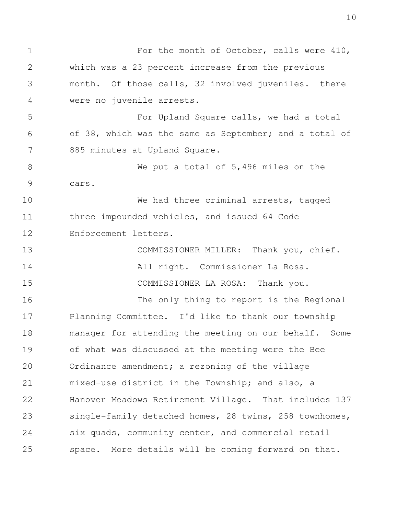space. More details will be coming forward on that. six quads, community center, and commercial retail single-family detached homes, 28 twins, 258 townhomes, Hanover Meadows Retirement Village. That includes 137 mixed-use district in the Township; and also, a Ordinance amendment; a rezoning of the village of what was discussed at the meeting were the Bee manager for attending the meeting on our behalf. Some Planning Committee. I'd like to thank our township The only thing to report is the Regional COMMISSIONER LA ROSA: Thank you. All right. Commissioner La Rosa. COMMISSIONER MILLER: Thank you, chief. Enforcement letters. three impounded vehicles, and issued 64 Code We had three criminal arrests, tagged cars. We put a total of 5,496 miles on the 885 minutes at Upland Square. of 38, which was the same as September; and a total of For Upland Square calls, we had a total were no juvenile arrests. month. Of those calls, 32 involved juveniles. there which was a 23 percent increase from the previous 1 For the month of October, calls were 410, 2 3 4 5 6 7 8 9 10 11 12 13 14 15 16 17 18 19 20 21 22 23 24 25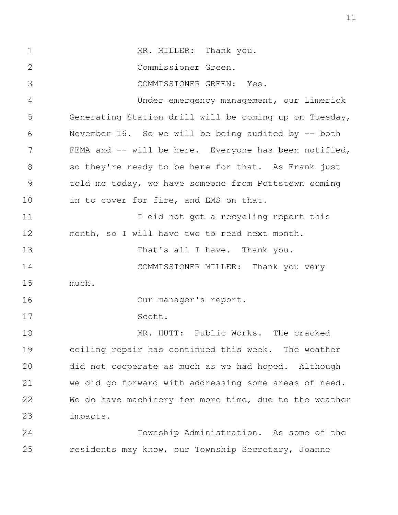residents may know, our Township Secretary, Joanne Township Administration. As some of the impacts. We do have machinery for more time, due to the weather we did go forward with addressing some areas of need. did not cooperate as much as we had hoped. Although ceiling repair has continued this week. The weather MR. HUTT: Public Works. The cracked Scott. Our manager's report. much. COMMISSIONER MILLER: Thank you very That's all I have. Thank you. month, so I will have two to read next month. I did not get a recycling report this in to cover for fire, and EMS on that. told me today, we have someone from Pottstown coming so they're ready to be here for that. As Frank just FEMA and -- will be here. Everyone has been notified, November 16. So we will be being audited by -- both Generating Station drill will be coming up on Tuesday, Under emergency management, our Limerick COMMISSIONER GREEN: Yes. Commissioner Green. 1 MR. MILLER: Thank you. 2 3 4 5 6 7 8 9 10 11 12 13 14 15 16 17 18 19 20 21 22 23 24 25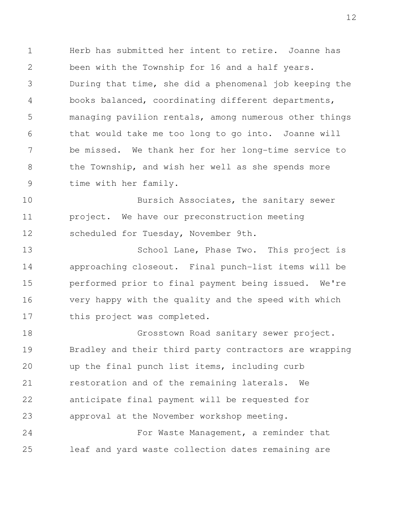time with her family. the Township, and wish her well as she spends more be missed. We thank her for her long-time service to that would take me too long to go into. Joanne will managing pavilion rentals, among numerous other things books balanced, coordinating different departments, During that time, she did a phenomenal job keeping the been with the Township for 16 and a half years. 1 Herb has submitted her intent to retire. Joanne has 2 3 4 5 6 7 8 9

scheduled for Tuesday, November 9th. project. We have our preconstruction meeting Bursich Associates, the sanitary sewer 10 11 12

this project was completed. very happy with the quality and the speed with which performed prior to final payment being issued. We're approaching closeout. Final punch-list items will be School Lane, Phase Two. This project is 13 14 15 16 17

approval at the November workshop meeting. anticipate final payment will be requested for restoration and of the remaining laterals. We up the final punch list items, including curb Bradley and their third party contractors are wrapping Grosstown Road sanitary sewer project. 18 19 20 21 22 23

leaf and yard waste collection dates remaining are For Waste Management, a reminder that 24 25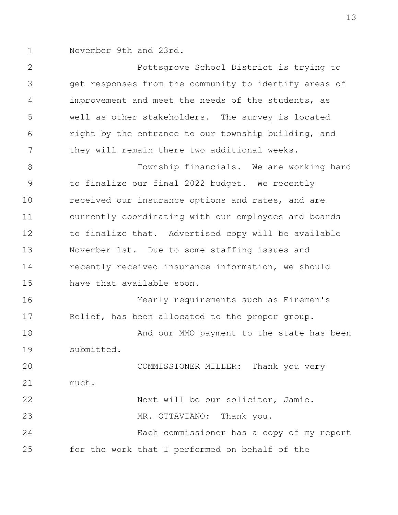1 November 9th and 23rd.

they will remain there two additional weeks. right by the entrance to our township building, and well as other stakeholders. The survey is located improvement and meet the needs of the students, as get responses from the community to identify areas of Pottsgrove School District is trying to 2 3 4 5 6 7

have that available soon. recently received insurance information, we should November 1st. Due to some staffing issues and to finalize that. Advertised copy will be available currently coordinating with our employees and boards received our insurance options and rates, and are to finalize our final 2022 budget. We recently Township financials. We are working hard 8 9 10 11 12 13 14 15

submitted. And our MMO payment to the state has been Relief, has been allocated to the proper group. Yearly requirements such as Firemen's 16 17 18 19

for the work that I performed on behalf of the Each commissioner has a copy of my report MR. OTTAVIANO: Thank you. Next will be our solicitor, Jamie. much. COMMISSIONER MILLER: Thank you very 20 21 22 23 24 25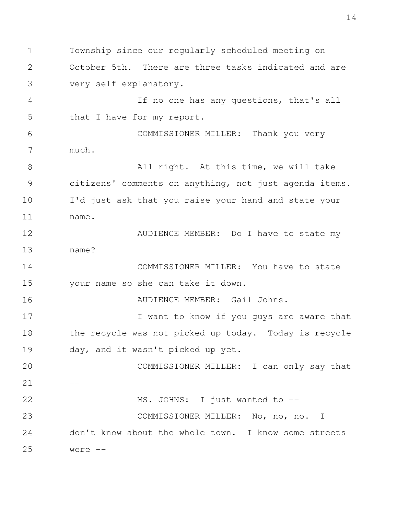were  $-$ don't know about the whole town. I know some streets COMMISSIONER MILLER: No, no, no. I MS. JOHNS: I just wanted to -- $-$ COMMISSIONER MILLER: I can only say that day, and it wasn't picked up yet. the recycle was not picked up today. Today is recycle I want to know if you guys are aware that AUDIENCE MEMBER: Gail Johns. your name so she can take it down. COMMISSIONER MILLER: You have to state name? AUDIENCE MEMBER: Do I have to state my name. I'd just ask that you raise your hand and state your citizens' comments on anything, not just agenda items. All right. At this time, we will take much. COMMISSIONER MILLER: Thank you very that I have for my report. If no one has any questions, that's all very self-explanatory. October 5th. There are three tasks indicated and are 1 Township since our regularly scheduled meeting on 2 3 4 5 6 7 8 9 10 11 12 13 14 15 16 17 18 19 20 21 22 23 24 25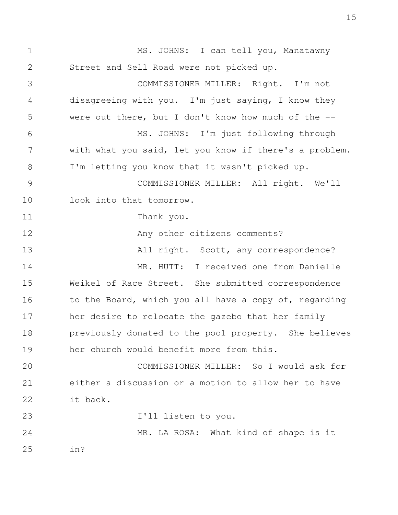in? MR. LA ROSA: What kind of shape is it I'll listen to you. it back. either a discussion or a motion to allow her to have COMMISSIONER MILLER: So I would ask for her church would benefit more from this. previously donated to the pool property. She believes her desire to relocate the gazebo that her family to the Board, which you all have a copy of, regarding Weikel of Race Street. She submitted correspondence MR. HUTT: I received one from Danielle All right. Scott, any correspondence? Any other citizens comments? Thank you. look into that tomorrow. COMMISSIONER MILLER: All right. We'll I'm letting you know that it wasn't picked up. with what you said, let you know if there's a problem. MS. JOHNS: I'm just following through were out there, but I don't know how much of the  $-$ disagreeing with you. I'm just saying, I know they COMMISSIONER MILLER: Right. I'm not Street and Sell Road were not picked up. 1 MS. JOHNS: I can tell you, Manatawny 2 3 4 5 6 7 8 9 10 11 12 13 14 15 16 17 18 19 20 21 22 23 24 25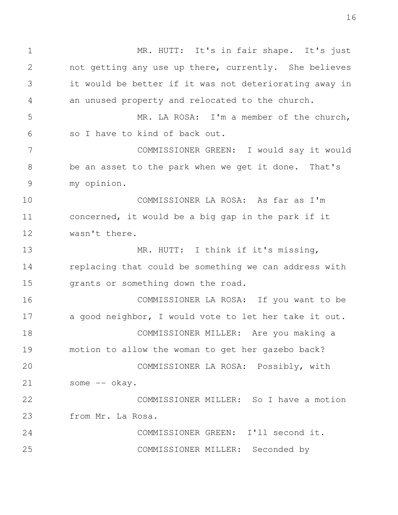COMMISSIONER MILLER: Seconded by COMMISSIONER GREEN: I'll second it. from Mr. La Rosa. COMMISSIONER MILLER: So I have a motion some -- okay. COMMISSIONER LA ROSA: Possibly, with motion to allow the woman to get her gazebo back? COMMISSIONER MILLER: Are you making a a good neighbor, I would vote to let her take it out. COMMISSIONER LA ROSA: If you want to be grants or something down the road. replacing that could be something we can address with MR. HUTT: I think if it's missing, wasn't there. concerned, it would be a big gap in the park if it COMMISSIONER LA ROSA: As far as I'm my opinion. be an asset to the park when we get it done. That's COMMISSIONER GREEN: I would say it would so I have to kind of back out. MR. LA ROSA: I'm a member of the church, an unused property and relocated to the church. it would be better if it was not deteriorating away in not getting any use up there, currently. She believes 1 MR. HUTT: It's in fair shape. It's just 2 3 4 5 6 7 8 9 10 11 12 13 14 15 16 17 18 19 20 21 22 23 24 25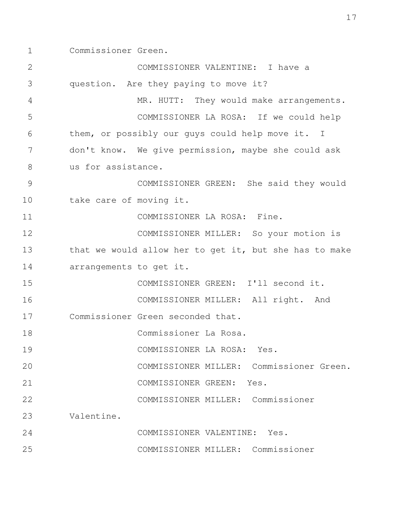1 Commissioner Green.

COMMISSIONER MILLER: Commissioner COMMISSIONER VALENTINE: Yes. Valentine. COMMISSIONER MILLER: Commissioner COMMISSIONER GREEN: Yes. COMMISSIONER MILLER: Commissioner Green. COMMISSIONER LA ROSA: Yes. Commissioner La Rosa. Commissioner Green seconded that. COMMISSIONER MILLER: All right. And COMMISSIONER GREEN: I'll second it. arrangements to get it. that we would allow her to get it, but she has to make COMMISSIONER MILLER: So your motion is COMMISSIONER LA ROSA: Fine. take care of moving it. COMMISSIONER GREEN: She said they would us for assistance. don't know. We give permission, maybe she could ask them, or possibly our guys could help move it. I COMMISSIONER LA ROSA: If we could help MR. HUTT: They would make arrangements. question. Are they paying to move it? COMMISSIONER VALENTINE: I have a 2 3 4 5 6 7 8 9 10 11 12 13 14 15 16 17 18 19  $2.0$  21 22 23 24 25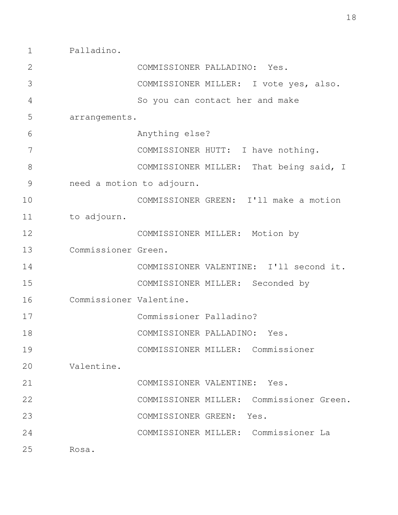1 Palladino.

| $\mathbf{2}$  |                         | COMMISSIONER PALLADINO: Yes.                |
|---------------|-------------------------|---------------------------------------------|
| 3             |                         | COMMISSIONER MILLER: I vote yes, also.      |
| 4             |                         | So you can contact her and make             |
| 5             | arrangements.           |                                             |
| 6             |                         | Anything else?                              |
| 7             |                         | COMMISSIONER HUTT: I have nothing.          |
| 8             |                         | COMMISSIONER MILLER: That being said, I     |
| $\mathcal{G}$ |                         | need a motion to adjourn.                   |
| 10            |                         | COMMISSIONER GREEN: I'll make a motion      |
| 11            | to adjourn.             |                                             |
| 12            |                         | COMMISSIONER MILLER: Motion by              |
| 13            | Commissioner Green.     |                                             |
| 14            |                         | COMMISSIONER VALENTINE: I'll second it.     |
| 15            |                         | COMMISSIONER MILLER: Seconded by            |
| 16            | Commissioner Valentine. |                                             |
| 17            |                         | Commissioner Palladino?                     |
| 18            |                         | COMMISSIONER PALLADINO: Yes.                |
| 19            |                         | COMMISSIONER MILLER: Commissioner           |
| 20            | Valentine.              |                                             |
| 21            |                         | COMMISSIONER VALENTINE: Yes.                |
| 22            |                         | Commissioner Green.<br>COMMISSIONER MILLER: |
| 23            |                         | COMMISSIONER GREEN:<br>Yes.                 |
| 24            |                         | COMMISSIONER MILLER: Commissioner La        |
| 25            | Rosa.                   |                                             |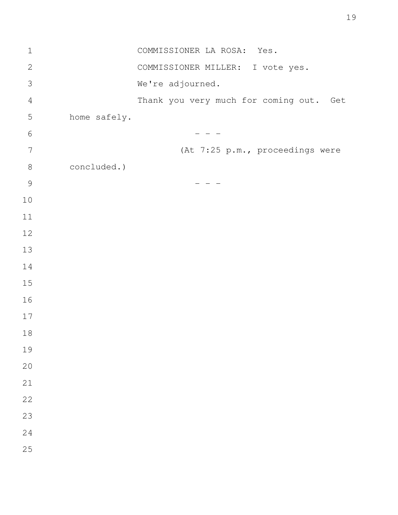| $\mathbf 1$    |              | COMMISSIONER LA ROSA: Yes.              |
|----------------|--------------|-----------------------------------------|
| $\sqrt{2}$     |              | COMMISSIONER MILLER: I vote yes.        |
| $\mathcal{S}$  |              | We're adjourned.                        |
| $\overline{4}$ |              | Thank you very much for coming out. Get |
| 5              | home safely. |                                         |
| $\sqrt{6}$     |              |                                         |
| 7              |              | (At 7:25 p.m., proceedings were         |
| $8\,$          | concluded.)  |                                         |
| $\mathsf 9$    |              |                                         |
| $10$           |              |                                         |
| $11$           |              |                                         |
| 12             |              |                                         |
| 13             |              |                                         |
| 14             |              |                                         |
| $15$           |              |                                         |
| 16             |              |                                         |
| $17$           |              |                                         |
| 18             |              |                                         |
| 19             |              |                                         |
| $20$           |              |                                         |
| 21             |              |                                         |
| 22             |              |                                         |
| 23             |              |                                         |
| 24             |              |                                         |
| 25             |              |                                         |